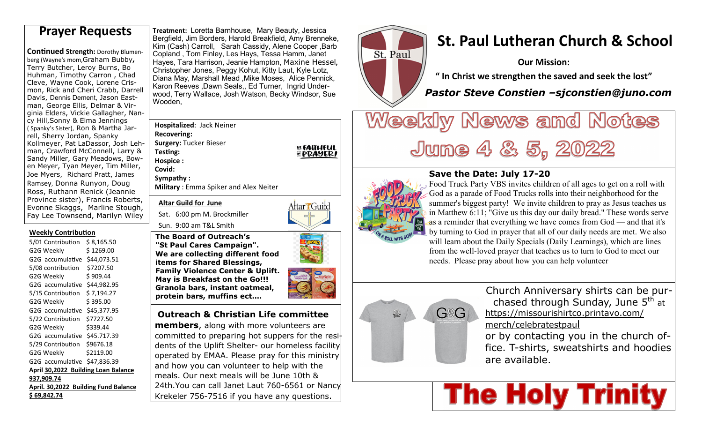**Continued Strength: Dorothy Blumen**berg (Wayne's mom,Graham Bubby**,** Terry Butcher, Leroy Burns, Bo Huhman, Timothy Carron , Chad Cleve, Wayne Cook, Lorene Crismon, Rick and Cheri Crabb, Darrell Davis, Dennis Dement, Jason Eastman, George Ellis, Delmar & Virginia Elders, Vickie Gallagher, Nancy Hill,Sonny & Elma Jennings ( Spanky's Sister), Ron & Martha Jarrell, Sherry Jordan, Spanky Kollmeyer, Pat LaDassor, Josh Lehman, Crawford McConnell, Larry & Sandy Miller, Gary Meadows, Bowen Meyer, Tyan Meyer, Tim Miller, Joe Myers, Richard Pratt, James Ramsey, Donna Runyon, Doug Ross, Ruthann Renick (Jeannie Province sister), Francis Roberts, Evonne Skaggs, Marline Stough, Fay Lee Townsend, Marilyn Wiley

#### **Weekly Contribution**

5/01 Contribution \$ 8,165.50 G2G Weekly \$1269.00 G2G accumulative \$44,073.51 5/08 contribution \$7207.50 G2G Weekly \$909.44 G2G accumulative \$44,982.95 5/15 Contribution \$ 7,194.27 G2G Weekly \$395.00 G2G accumulative \$45,377.95 5/22 Contribution \$7727.50 G2G Weekly \$339.44 G2G accumulative \$45.717.39 5/29 Contribution \$9676.18 G2G Weekly \$2119.00 G2G accumulative \$47.836.39 **April 30,2022 Building Loan Balance 937,909.74 April. 30,2022 Building Fund Balance \$ 69,842.74** 

**Treatment:** Loretta Barnhouse, Mary Beauty, Jessica Bergfield, Jim Borders, Harold Breakfield, Amy Brenneke, Kim (Cash) Carroll, Sarah Cassidy, Alene Cooper ,Barb Copland , Tom Finley, Les Hays, Tessa Hamm, Janet Hayes, Tara Harrison, Jeanie Hampton, Maxine Hessel**,** Christopher Jones, Peggy Kohut, Kitty Laut, Kyle Lotz, Diana May, Marshall Mead ,Mike Moses, Alice Pennick, Karon Reeves ,Dawn Seals,, Ed Turner, Ingrid Underwood, Terry Wallace, Josh Watson, Becky Windsor, Sue Wooden, **Prayer Requests** *If the atment: Loretta Barnhouse, Mary Beauty, Jessica***<br>Bergfield, Jim Borders, Harold Breakfield, Amy Brenneke, <b>St. Paul Lutheran Church & School** 

> **Hospitalized**: Jack Neiner **Recovering: Surgery:** Tucker Bieser**Testing: Hospice : Covid:**

**Sympathy :Military** : Emma Spiker and Alex Neiter

**Altar Guild for June** 

Sun. 9:00 am T&L Smith

Sat. 6:00 pm M. Brockmiller



**EL FAITHFUL<br>※PRAYER!** 

**The Board of Outreach's "St Paul Cares Campaign". We are collecting different food items for Shared Blessings, Family Violence Center & Uplift. May is Breakfast on the Go!!! Granola bars, instant oatmeal, protein bars, muffins ect….**

 **Outreach & Christian Life committee** 

**members**, along with more volunteers are committed to preparing hot suppers for the residents of the Uplift Shelter- our homeless facility operated by EMAA. Please pray for this ministry and how you can volunteer to help with the meals. Our next meals will be June 10th & 24th.You can call Janet Laut 760-6561 or Nancy Krekeler 756-7516 if you have any questions.



**Our Mission:** 

**" In Christ we strengthen the saved and seek the lost"** 

 *Pastor Steve Constien –sjconstien@juno.com* 

# Weekly News and Notes June 4 & 5, 2022



## **Save the Date: July 17-20**

 Food Truck Party VBS invites children of all ages to get on a roll with God as a parade of Food Trucks rolls into their neighborhood for the summer's biggest party! We invite children to pray as Jesus teaches us in Matthew 6:11; "Give us this day our daily bread." These words serve as a reminder that everything we have comes from God — and that it's by turning to God in prayer that all of our daily needs are met. We also will learn about the Daily Specials (Daily Learnings), which are lines from the well-loved prayer that teaches us to turn to God to meet our needs. Please pray about how you can help volunteer



Church Anniversary shirts can be purchased through Sunday, June 5<sup>th</sup> at https://missourishirtco.printavo.com/merch/celebratestpaul

 or by contacting you in the church office. T-shirts, sweatshirts and hoodies are available.